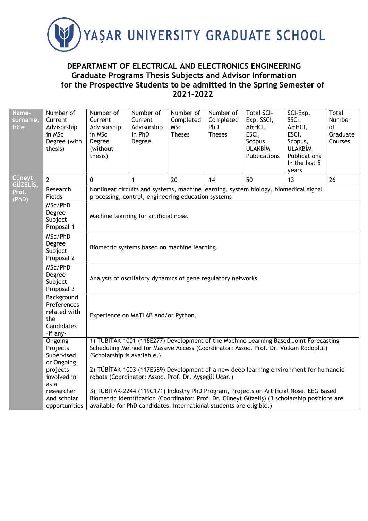

## **DEPARTMENT OF ELECTRICAL AND ELECTRONICS ENGINEERING Graduate Programs Thesis Subjects and Advisor Information for the Prospective Students to be admitted in the Spring Semester of 2021-2022**

| Name-<br>surname,<br>title | Number of<br>Current<br>Advisorship<br>in MSc<br>Degree (with<br>thesis)   | Number of<br>Current<br>Advisorship<br>in MSc<br>Degree<br>(without<br>thesis)                                                                                                                                                                                 | Number of<br>Current<br>Advisorship<br>in PhD<br>Degree | Number of<br>Completed<br><b>MSc</b><br><b>Theses</b> | Number of<br>Completed<br>PhD<br><b>Theses</b> | <b>Total SCI-</b><br>Exp, SSCI,<br>A&HCI,<br>ESCI,<br>Scopus,<br><b>ULAKBİM</b><br>Publications | SCI-Exp,<br>SSCI,<br>A&HCI,<br>ESCI,<br>Scopus,<br><b>ULAKBİM</b><br>Publications<br>In the last 5<br>years                                                                    | Total<br>Number<br>of<br>Graduate<br>Courses |  |  |
|----------------------------|----------------------------------------------------------------------------|----------------------------------------------------------------------------------------------------------------------------------------------------------------------------------------------------------------------------------------------------------------|---------------------------------------------------------|-------------------------------------------------------|------------------------------------------------|-------------------------------------------------------------------------------------------------|--------------------------------------------------------------------------------------------------------------------------------------------------------------------------------|----------------------------------------------|--|--|
| <b>Cüneyt</b><br>GÜZELIŞ,  | $\overline{2}$                                                             | $\mathbf{0}$                                                                                                                                                                                                                                                   | $\mathbf{1}$                                            | 20                                                    | 14                                             | 50                                                                                              | 13                                                                                                                                                                             | 26                                           |  |  |
| Prof.<br>(PhD)             | Research<br>Fields                                                         | processing, control, engineering education systems                                                                                                                                                                                                             |                                                         |                                                       |                                                | Nonlinear circuits and systems, machine learning, system biology, biomedical signal             |                                                                                                                                                                                |                                              |  |  |
|                            | MSc/PhD<br>Degree<br>Subject<br>Proposal 1                                 | Machine learning for artificial nose.                                                                                                                                                                                                                          |                                                         |                                                       |                                                |                                                                                                 |                                                                                                                                                                                |                                              |  |  |
|                            | MSc/PhD<br>Degree<br>Subject<br>Proposal 2                                 | Biometric systems based on machine learning.                                                                                                                                                                                                                   |                                                         |                                                       |                                                |                                                                                                 |                                                                                                                                                                                |                                              |  |  |
|                            | MSc/PhD<br>Degree<br>Subject<br>Proposal 3                                 | Analysis of oscillatory dynamics of gene regulatory networks                                                                                                                                                                                                   |                                                         |                                                       |                                                |                                                                                                 |                                                                                                                                                                                |                                              |  |  |
|                            | Background<br>Preferences<br>related with<br>the<br>Candidates<br>-if any- | Experience on MATLAB and/or Python.                                                                                                                                                                                                                            |                                                         |                                                       |                                                |                                                                                                 |                                                                                                                                                                                |                                              |  |  |
|                            | Ongoing<br>Projects<br>Supervised<br>or Ongoing                            | (Scholarship is available.)                                                                                                                                                                                                                                    |                                                         |                                                       |                                                |                                                                                                 | 1) TÜBİTAK-1001 (118E277) Development of the Machine Learning Based Joint Forecasting-<br>Scheduling Method for Massive Access (Coordinator: Assoc. Prof. Dr. Volkan Rodoplu.) |                                              |  |  |
|                            | projects<br>involved in                                                    | robots (Coordinator: Assoc. Prof. Dr. Aysegül Uçar.)                                                                                                                                                                                                           |                                                         |                                                       |                                                |                                                                                                 | 2) TÜBİTAK-1003 (117E589) Development of a new deep learning environment for humanoid                                                                                          |                                              |  |  |
|                            | as a<br>researcher<br>And scholar<br>opportunities                         | 3) TÜBİTAK-2244 (119C171) Industry PhD Program, Projects on Artificial Nose, EEG Based<br>Biometric Identification (Coordinator: Prof. Dr. Cüneyt Güzeliş) (3 scholarship positions are<br>available for PhD candidates. International students are eligible.) |                                                         |                                                       |                                                |                                                                                                 |                                                                                                                                                                                |                                              |  |  |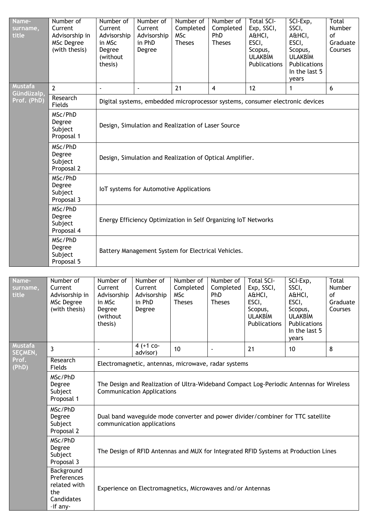| Name-<br>surname,<br>title   | Number of<br>Current<br>Advisorship in<br>MSc Degree<br>(with thesis)        | Number of<br>Current<br>Advisorship<br>in MSc<br>Degree<br>(without<br>thesis) | Number of<br>Current<br>Advisorship<br>in PhD<br>Degree | Number of<br>Completed<br><b>MSc</b><br><b>Theses</b>   | Number of<br>Completed<br><b>PhD</b><br><b>Theses</b> | <b>Total SCI-</b><br>Exp, SSCI,<br>A&HCI,<br>ESCI,<br>Scopus,<br><b>ULAKBİM</b><br>Publications | SCI-Exp,<br>SSCI,<br>A&HCI,<br>ESCI,<br>Scopus,<br><b>ULAKBİM</b><br>Publications<br>In the last 5<br>years | Total<br>Number<br>of<br>Graduate<br>Courses |  |  |
|------------------------------|------------------------------------------------------------------------------|--------------------------------------------------------------------------------|---------------------------------------------------------|---------------------------------------------------------|-------------------------------------------------------|-------------------------------------------------------------------------------------------------|-------------------------------------------------------------------------------------------------------------|----------------------------------------------|--|--|
| <b>Mustafa</b><br>Gündüzalp, | $\overline{2}$                                                               |                                                                                | $\blacksquare$                                          | 21                                                      | $\overline{4}$                                        | 12                                                                                              | 1                                                                                                           | 6                                            |  |  |
| Prof. (PhD)                  | Research<br>Fields                                                           |                                                                                |                                                         |                                                         |                                                       | Digital systems, embedded microprocessor systems, consumer electronic devices                   |                                                                                                             |                                              |  |  |
|                              | MSc/PhD<br>Degree<br>Subject<br>Proposal 1                                   |                                                                                | Design, Simulation and Realization of Laser Source      |                                                         |                                                       |                                                                                                 |                                                                                                             |                                              |  |  |
|                              | MSc/PhD<br>Degree<br>Subject<br>Proposal 2                                   | Design, Simulation and Realization of Optical Amplifier.                       |                                                         |                                                         |                                                       |                                                                                                 |                                                                                                             |                                              |  |  |
|                              | MSc/PhD<br>Degree<br>Subject<br>Proposal 3                                   | IoT systems for Automotive Applications                                        |                                                         |                                                         |                                                       |                                                                                                 |                                                                                                             |                                              |  |  |
|                              | MSc/PhD<br>Degree<br>Subject<br>Proposal 4                                   | Energy Efficiency Optimization in Self Organizing IoT Networks                 |                                                         |                                                         |                                                       |                                                                                                 |                                                                                                             |                                              |  |  |
|                              | MSc/PhD<br>Degree<br>Subject<br>Proposal 5                                   | Battery Management System for Electrical Vehicles.                             |                                                         |                                                         |                                                       |                                                                                                 |                                                                                                             |                                              |  |  |
|                              |                                                                              |                                                                                |                                                         |                                                         |                                                       |                                                                                                 |                                                                                                             |                                              |  |  |
| Name-<br>surname,<br>title   | Number of<br>Current<br>Advisorship in<br><b>MSc Degree</b><br>(with thesis) | Number of<br>Current<br>Advisorship<br>in MSc<br>Degree<br>(without<br>thesis) | Number of<br>Current<br>Advisorship<br>in PhD<br>Degree | Number of<br>Completed  <br><b>MSc</b><br><b>Theses</b> | Number of<br>Completed<br>PhD<br><b>Theses</b>        | Total SCI-<br>Exp, SSCI,<br>A&HCI,<br>ESCI,<br>Scopus,<br><b>ULAKBİM</b><br>Publications        | SCI-Exp,<br>SSCI,<br>A&HCI,<br>ESCI,<br>Scopus,<br><b>ULAKBİM</b><br>Publications<br>In the last 5<br>years | Total<br>Number<br>of<br>Graduate<br>Courses |  |  |
| <b>Mustafa</b><br>SEÇMEN,    | 3                                                                            |                                                                                | 4 (+1 co-<br>advisor)                                   | 10                                                      |                                                       | 21                                                                                              | 10                                                                                                          | 8                                            |  |  |
| Prof.<br>(PhD)               | Research<br>Fields                                                           |                                                                                | Electromagnetic, antennas, microwave, radar systems     |                                                         |                                                       |                                                                                                 |                                                                                                             |                                              |  |  |
|                              | MSc/PhD<br>Degree<br>Subject<br>Proposal 1                                   |                                                                                | <b>Communication Applications</b>                       |                                                         |                                                       | The Design and Realization of Ultra-Wideband Compact Log-Periodic Antennas for Wireless         |                                                                                                             |                                              |  |  |
|                              | MSc/PhD<br>Degree<br>Subject<br>Proposal 2                                   |                                                                                | communication applications                              |                                                         |                                                       | Dual band waveguide mode converter and power divider/combiner for TTC satellite                 |                                                                                                             |                                              |  |  |
|                              | MSc/PhD<br>Degree<br>Subject                                                 |                                                                                |                                                         |                                                         |                                                       | The Design of RFID Antennas and MUX for Integrated RFID Systems at Production Lines             |                                                                                                             |                                              |  |  |

Proposal 3

the

Background

Candidates –if any-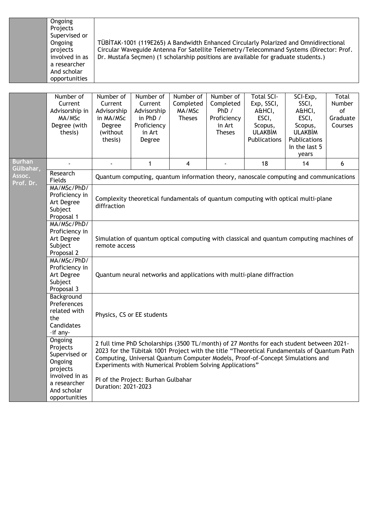## **Ongoing** Projects Supervised or Ongoing projects involved in as a researcher And scholar opportunities

TÜBİTAK-1001 (119E265) A Bandwidth Enhanced Circularly Polarized and Omnidirectional Circular Waveguide Antenna For Satellite Telemetry/Telecommand Systems (Director: Prof. Dr. Mustafa Seçmen) (1 scholarship positions are available for graduate students.)

|                            | Number of<br>Current<br>Advisorship in<br>MA/MSc<br>Degree (with<br>thesis) | Number of<br>Current<br>Advisorship<br>in MA/MSc<br>Degree<br>(without<br>thesis)                         | Number of<br>Current<br>Advisorship<br>in PhD /<br>Proficiency<br>in Art<br>Degree | Number of<br>Completed<br>MA/MSc<br><b>Theses</b> | Number of<br>Completed<br>PhD /<br>Proficiency<br>in Art<br><b>Theses</b> | <b>Total SCI-</b><br>Exp, SSCI,<br>A&HCI,<br>ESCI,<br>Scopus,<br><b>ULAKBİM</b><br>Publications                                                                                                                                                                          | SCI-Exp,<br>SSCI,<br>A&HCI,<br>ESCI,<br>Scopus,<br><b>ULAKBİM</b><br>Publications<br>In the last 5<br>years | Total<br>Number<br>of<br>Graduate<br>Courses |  |  |
|----------------------------|-----------------------------------------------------------------------------|-----------------------------------------------------------------------------------------------------------|------------------------------------------------------------------------------------|---------------------------------------------------|---------------------------------------------------------------------------|--------------------------------------------------------------------------------------------------------------------------------------------------------------------------------------------------------------------------------------------------------------------------|-------------------------------------------------------------------------------------------------------------|----------------------------------------------|--|--|
| <b>Burhan</b><br>Gülbahar, |                                                                             |                                                                                                           | $\mathbf{1}$                                                                       | $\overline{4}$                                    |                                                                           | 18                                                                                                                                                                                                                                                                       | 14                                                                                                          | 6                                            |  |  |
| Assoc.<br>Prof. Dr.        | Research<br>Fields                                                          |                                                                                                           |                                                                                    |                                                   |                                                                           | Quantum computing, quantum information theory, nanoscale computing and communications                                                                                                                                                                                    |                                                                                                             |                                              |  |  |
|                            | MA/MSc/PhD/<br>Proficiency in<br>Art Degree<br>Subject<br>Proposal 1        | Complexity theoretical fundamentals of quantum computing with optical multi-plane<br>diffraction          |                                                                                    |                                                   |                                                                           |                                                                                                                                                                                                                                                                          |                                                                                                             |                                              |  |  |
|                            | MA/MSc/PhD/<br>Proficiency in<br>Art Degree<br>Subject<br>Proposal 2        | Simulation of quantum optical computing with classical and quantum computing machines of<br>remote access |                                                                                    |                                                   |                                                                           |                                                                                                                                                                                                                                                                          |                                                                                                             |                                              |  |  |
|                            | MA/MSc/PhD/<br>Proficiency in<br>Art Degree<br>Subject<br>Proposal 3        | Quantum neural networks and applications with multi-plane diffraction                                     |                                                                                    |                                                   |                                                                           |                                                                                                                                                                                                                                                                          |                                                                                                             |                                              |  |  |
|                            | Background<br>Preferences<br>related with<br>the<br>Candidates<br>-if any-  | Physics, CS or EE students                                                                                |                                                                                    |                                                   |                                                                           |                                                                                                                                                                                                                                                                          |                                                                                                             |                                              |  |  |
|                            | Ongoing<br>Projects<br>Supervised or<br>Ongoing<br>projects                 |                                                                                                           | Experiments with Numerical Problem Solving Applications"                           |                                                   |                                                                           | 2 full time PhD Scholarships (3500 TL/month) of 27 Months for each student between 2021-<br>2023 for the Tübitak 1001 Project with the title "Theoretical Fundamentals of Quantum Path<br>Computing, Universal Quantum Computer Models, Proof-of-Concept Simulations and |                                                                                                             |                                              |  |  |
|                            | involved in as<br>a researcher<br>And scholar<br>opportunities              | PI of the Project: Burhan Gulbahar<br>Duration: 2021-2023                                                 |                                                                                    |                                                   |                                                                           |                                                                                                                                                                                                                                                                          |                                                                                                             |                                              |  |  |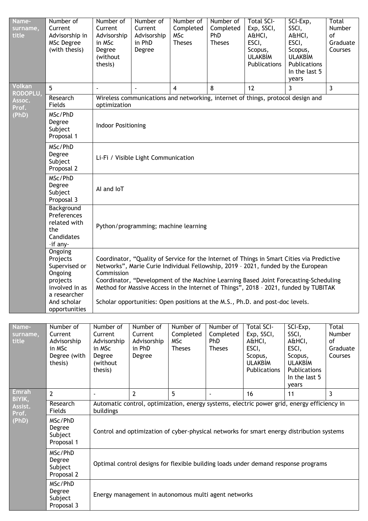| Name-<br>surname,<br>title | Number of<br>Current<br>Advisorship in<br>MSc Degree<br>(with thesis)                                                         | Number of<br>Current<br>Advisorship<br>in MSc<br>Degree<br>(without<br>thesis)              | Number of<br>Current<br>Advisorship<br>in PhD<br>Degree                                                                                                                                                                                                                                                                                                         | Number of<br>Completed<br><b>MSc</b><br><b>Theses</b> | Number of<br>Completed<br>PhD<br><b>Theses</b> | Total SCI-<br>Exp, SSCI,<br>A&HCI,<br>ESCI,<br>Scopus,<br><b>ULAKBİM</b><br>Publications        | SCI-Exp,<br>SSCI,<br>A&HCI,<br>ESCI,<br>Scopus,<br><b>ULAKBİM</b><br>Publications<br>In the last 5<br>years | Total<br><b>Number</b><br>of<br>Graduate<br>Courses |  |  |  |
|----------------------------|-------------------------------------------------------------------------------------------------------------------------------|---------------------------------------------------------------------------------------------|-----------------------------------------------------------------------------------------------------------------------------------------------------------------------------------------------------------------------------------------------------------------------------------------------------------------------------------------------------------------|-------------------------------------------------------|------------------------------------------------|-------------------------------------------------------------------------------------------------|-------------------------------------------------------------------------------------------------------------|-----------------------------------------------------|--|--|--|
| Volkan<br>RODOPLU,         | 5 <sup>5</sup>                                                                                                                |                                                                                             |                                                                                                                                                                                                                                                                                                                                                                 | $\boldsymbol{4}$                                      | 8                                              | 12                                                                                              | 3                                                                                                           | $\overline{3}$                                      |  |  |  |
| Assoc.                     | Research<br>Fields                                                                                                            | optimization                                                                                |                                                                                                                                                                                                                                                                                                                                                                 |                                                       |                                                | Wireless communications and networking, internet of things, protocol design and                 |                                                                                                             |                                                     |  |  |  |
| Prof.<br>(PhD)             | MSc/PhD<br>Degree<br>Subject<br>Proposal 1                                                                                    | <b>Indoor Positioning</b>                                                                   |                                                                                                                                                                                                                                                                                                                                                                 |                                                       |                                                |                                                                                                 |                                                                                                             |                                                     |  |  |  |
|                            | MSc/PhD<br>Degree<br>Subject<br>Proposal 2                                                                                    |                                                                                             | Li-Fi / Visible Light Communication                                                                                                                                                                                                                                                                                                                             |                                                       |                                                |                                                                                                 |                                                                                                             |                                                     |  |  |  |
|                            | MSc/PhD<br>Degree<br>Subject<br>Proposal 3                                                                                    | Al and loT                                                                                  |                                                                                                                                                                                                                                                                                                                                                                 |                                                       |                                                |                                                                                                 |                                                                                                             |                                                     |  |  |  |
|                            | Background<br>Preferences<br>related with<br>the<br>Candidates<br>-if any-                                                    |                                                                                             | Python/programming; machine learning                                                                                                                                                                                                                                                                                                                            |                                                       |                                                |                                                                                                 |                                                                                                             |                                                     |  |  |  |
|                            | Ongoing<br>Projects<br>Supervised or<br>Ongoing<br>projects<br>involved in as<br>a researcher<br>And scholar<br>opportunities | Commission<br>Scholar opportunities: Open positions at the M.S., Ph.D. and post-doc levels. | Coordinator, "Quality of Service for the Internet of Things in Smart Cities via Predictive<br>Networks", Marie Curie Individual Fellowship, 2019 - 2021, funded by the European<br>Coordinator, "Development of the Machine Learning Based Joint Forecasting-Scheduling<br>Method for Massive Access in the Internet of Things", 2018 - 2021, funded by TUBITAK |                                                       |                                                |                                                                                                 |                                                                                                             |                                                     |  |  |  |
|                            |                                                                                                                               |                                                                                             |                                                                                                                                                                                                                                                                                                                                                                 |                                                       |                                                |                                                                                                 |                                                                                                             |                                                     |  |  |  |
| Name-<br>surname,<br>title | Number of<br>Current<br>Advisorship<br>in MSc<br>Degree (with<br>thesis)                                                      | Number of<br>Current<br>Advisorship<br>in MSc<br>Degree<br>(without<br>thesis)              | Number of<br>Current<br>Advisorship<br>in PhD<br>Degree                                                                                                                                                                                                                                                                                                         | Number of<br>Completed<br><b>MSc</b><br><b>Theses</b> | Number of<br>Completed<br>PhD<br><b>Theses</b> | <b>Total SCI-</b><br>Exp, SSCI,<br>A&HCI,<br>ESCI,<br>Scopus,<br><b>ULAKBİM</b><br>Publications | SCI-Exp,<br>SSCI,<br>A&HCI,<br>ESCI,<br>Scopus,<br><b>ULAKBİM</b><br>Publications<br>In the last 5<br>years | Total<br><b>Number</b><br>of<br>Graduate<br>Courses |  |  |  |
| <b>Emrah</b><br>BIYIK,     | $\overline{2}$                                                                                                                | $\blacksquare$                                                                              | $\overline{2}$                                                                                                                                                                                                                                                                                                                                                  | 5                                                     | $\blacksquare$                                 | 16                                                                                              | 11                                                                                                          | $\overline{3}$                                      |  |  |  |
| Assist.                    | Research<br>Fields                                                                                                            | buildings                                                                                   |                                                                                                                                                                                                                                                                                                                                                                 |                                                       |                                                |                                                                                                 | Automatic control, optimization, energy systems, electric power grid, energy efficiency in                  |                                                     |  |  |  |
| Prof.<br>(PhD)             | MSc/PhD<br>Degree<br>Subject<br>Proposal 1                                                                                    |                                                                                             |                                                                                                                                                                                                                                                                                                                                                                 |                                                       |                                                |                                                                                                 | Control and optimization of cyber-physical networks for smart energy distribution systems                   |                                                     |  |  |  |
|                            | MSc/PhD<br>Degree<br>Subject<br>Proposal 2                                                                                    |                                                                                             |                                                                                                                                                                                                                                                                                                                                                                 |                                                       |                                                |                                                                                                 | Optimal control designs for flexible building loads under demand response programs                          |                                                     |  |  |  |
|                            | MSc/PhD<br>Degree<br>Subject<br>Proposal 3                                                                                    |                                                                                             | Energy management in autonomous multi agent networks                                                                                                                                                                                                                                                                                                            |                                                       |                                                |                                                                                                 |                                                                                                             |                                                     |  |  |  |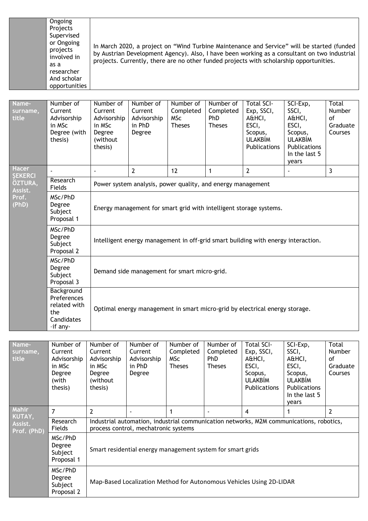| Ongoing       |
|---------------|
| Projects      |
| Supervised    |
| or Ongoing    |
| projects      |
| involved in   |
| as a          |
| researcher    |
| And scholar   |
| opportunities |

In March 2020, a project on "Wind Turbine Maintenance and Service" will be started (funded by Austrian Development Agency). Also, I have been working as a consultant on two industrial projects. Currently, there are no other funded projects with scholarship opportunities.

| Name-<br>surname,<br>title | Number of<br>Current<br>Advisorship<br>in MSc<br>Degree (with<br>thesis)   | Number of<br>Current<br>Advisorship<br>in MSc<br>Degree<br>(without<br>thesis)    | Number of<br>Current<br>Advisorship<br>in PhD<br>Degree     | Number of<br>Completed<br><b>MSC</b><br><b>Theses</b> | Number of<br>Completed<br><b>PhD</b><br><b>Theses</b> | <b>Total SCI-</b><br>Exp, SSCI,<br>A&HCI,<br>ESCI,<br>Scopus,<br><b>ULAKBİM</b><br>Publications | SCI-Exp,<br>SSCI,<br>A&HCI,<br>ESCI,<br>Scopus,<br><b>ULAKBİM</b><br>Publications<br>In the last 5<br>years | Total<br><b>Number</b><br>of<br>Graduate<br>Courses |  |  |  |
|----------------------------|----------------------------------------------------------------------------|-----------------------------------------------------------------------------------|-------------------------------------------------------------|-------------------------------------------------------|-------------------------------------------------------|-------------------------------------------------------------------------------------------------|-------------------------------------------------------------------------------------------------------------|-----------------------------------------------------|--|--|--|
| Hacer<br><b>SEKERCI</b>    |                                                                            | $\tilde{\phantom{a}}$                                                             | $\overline{2}$                                              | 12                                                    | 1                                                     | $\overline{2}$                                                                                  | $\overline{\phantom{a}}$                                                                                    | 3                                                   |  |  |  |
| ÖZTURA,<br>Assist.         | Research<br>Fields                                                         |                                                                                   | Power system analysis, power quality, and energy management |                                                       |                                                       |                                                                                                 |                                                                                                             |                                                     |  |  |  |
| Prof.<br>(PhD)             | MSc/PhD<br>Degree<br>Subject<br>Proposal 1                                 | Energy management for smart grid with intelligent storage systems.                |                                                             |                                                       |                                                       |                                                                                                 |                                                                                                             |                                                     |  |  |  |
|                            | MSc/PhD<br>Degree<br>Subject<br>Proposal 2                                 | Intelligent energy management in off-grid smart building with energy interaction. |                                                             |                                                       |                                                       |                                                                                                 |                                                                                                             |                                                     |  |  |  |
|                            | MSc/PhD<br>Degree<br>Subject<br>Proposal 3                                 | Demand side management for smart micro-grid.                                      |                                                             |                                                       |                                                       |                                                                                                 |                                                                                                             |                                                     |  |  |  |
|                            | Background<br>Preferences<br>related with<br>the<br>Candidates<br>-if any- | Optimal energy management in smart micro-grid by electrical energy storage.       |                                                             |                                                       |                                                       |                                                                                                 |                                                                                                             |                                                     |  |  |  |

| Name-<br>surname,<br>title | Number of<br>Current<br>Advisorship<br>in MSc<br>Degree<br>(with<br>thesis) | Number of<br>Current<br>Advisorship<br>in MSc<br>Degree<br>(without<br>thesis)                                                  | Number of<br>Current<br>Advisorship<br>in PhD<br>Degree | Number of<br>Completed<br>MSc<br><b>Theses</b> | Number of<br>Completed<br>PhD<br><b>Theses</b> | <b>Total SCI-</b><br>Exp, SSCI,<br>A&HCI,<br>ESCI,<br>Scopus,<br><b>ULAKBIM</b><br><b>Publications</b> | SCI-Exp,<br>SSCI,<br>A&HCI,<br>ESCI,<br>Scopus,<br><b>ULAKBIM</b><br><b>Publications</b><br>In the last 5<br>vears | Total<br><b>Number</b><br>οf<br>Graduate<br>Courses |  |  |
|----------------------------|-----------------------------------------------------------------------------|---------------------------------------------------------------------------------------------------------------------------------|---------------------------------------------------------|------------------------------------------------|------------------------------------------------|--------------------------------------------------------------------------------------------------------|--------------------------------------------------------------------------------------------------------------------|-----------------------------------------------------|--|--|
| <b>Mahir</b><br>KUTAY,     | $\overline{7}$                                                              | $\overline{2}$                                                                                                                  |                                                         |                                                | $\overline{\phantom{a}}$                       | 4                                                                                                      |                                                                                                                    | 2                                                   |  |  |
| Assist.<br>Prof. (PhD)     | Research<br>Fields                                                          | Industrial automation, industrial communication networks, M2M communications, robotics,<br>process control, mechatronic systems |                                                         |                                                |                                                |                                                                                                        |                                                                                                                    |                                                     |  |  |
|                            | MSc/PhD<br>Degree<br>Subject<br>Proposal 1                                  | Smart residential energy management system for smart grids                                                                      |                                                         |                                                |                                                |                                                                                                        |                                                                                                                    |                                                     |  |  |
|                            | MSc/PhD<br>Degree<br>Subject<br>Proposal 2                                  | Map-Based Localization Method for Autonomous Vehicles Using 2D-LIDAR                                                            |                                                         |                                                |                                                |                                                                                                        |                                                                                                                    |                                                     |  |  |